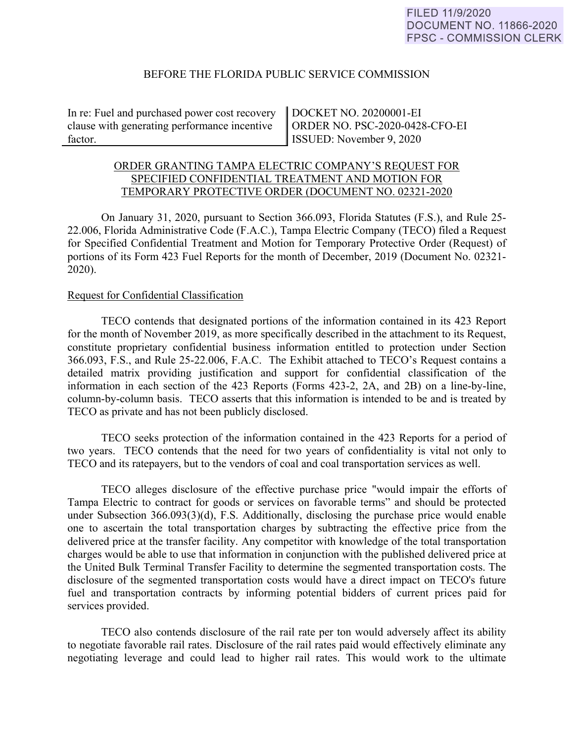## BEFORE THE FLORIDA PUBLIC SERVICE COMMISSION

In re: Fuel and purchased power cost recovery clause with generating performance incentive factor.

DOCKET NO. 20200001-EI ORDER NO. PSC-2020-0428-CFO-EI ISSUED: November 9, 2020

# ORDER GRANTING TAMPA ELECTRIC COMPANY'S REQUEST FOR SPECIFIED CONFIDENTIAL TREATMENT AND MOTION FOR TEMPORARY PROTECTIVE ORDER (DOCUMENT NO. 02321-2020

On January 31, 2020, pursuant to Section 366.093, Florida Statutes (F.S.), and Rule 25- 22.006, Florida Administrative Code (F.A.C.), Tampa Electric Company (TECO) filed a Request for Specified Confidential Treatment and Motion for Temporary Protective Order (Request) of portions of its Form 423 Fuel Reports for the month of December, 2019 (Document No. 02321- 2020).

### Request for Confidential Classification

TECO contends that designated portions of the information contained in its 423 Report for the month of November 2019, as more specifically described in the attachment to its Request, constitute proprietary confidential business information entitled to protection under Section 366.093, F.S., and Rule 25-22.006, F.A.C. The Exhibit attached to TECO's Request contains a detailed matrix providing justification and support for confidential classification of the information in each section of the 423 Reports (Forms 423-2, 2A, and 2B) on a line-by-line, column-by-column basis. TECO asserts that this information is intended to be and is treated by TECO as private and has not been publicly disclosed.

TECO seeks protection of the information contained in the 423 Reports for a period of two years. TECO contends that the need for two years of confidentiality is vital not only to TECO and its ratepayers, but to the vendors of coal and coal transportation services as well.

TECO alleges disclosure of the effective purchase price "would impair the efforts of Tampa Electric to contract for goods or services on favorable terms" and should be protected under Subsection 366.093(3)(d), F.S. Additionally, disclosing the purchase price would enable one to ascertain the total transportation charges by subtracting the effective price from the delivered price at the transfer facility. Any competitor with knowledge of the total transportation charges would be able to use that information in conjunction with the published delivered price at the United Bulk Terminal Transfer Facility to determine the segmented transportation costs. The disclosure of the segmented transportation costs would have a direct impact on TECO's future fuel and transportation contracts by informing potential bidders of current prices paid for services provided.

TECO also contends disclosure of the rail rate per ton would adversely affect its ability to negotiate favorable rail rates. Disclosure of the rail rates paid would effectively eliminate any negotiating leverage and could lead to higher rail rates. This would work to the ultimate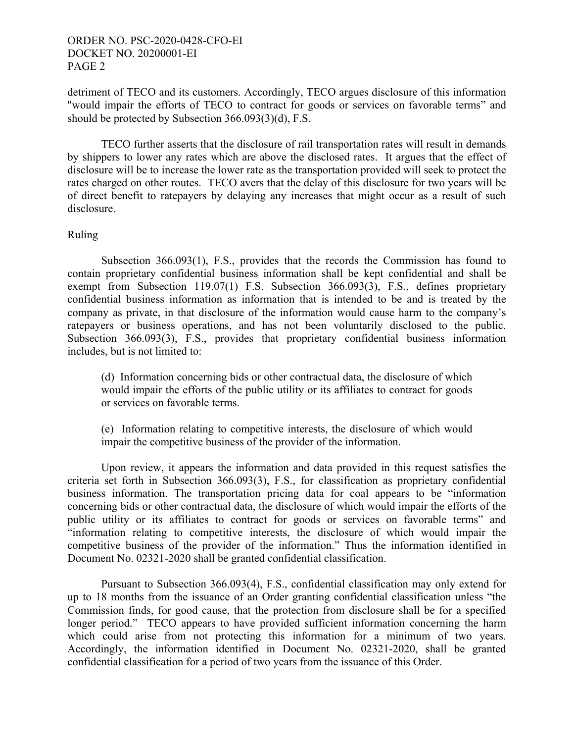## ORDER NO. PSC-2020-0428-CFO-EI DOCKET NO. 20200001-EI PAGE 2

detriment of TECO and its customers. Accordingly, TECO argues disclosure of this information "would impair the efforts of TECO to contract for goods or services on favorable terms" and should be protected by Subsection 366.093(3)(d), F.S.

TECO further asserts that the disclosure of rail transportation rates will result in demands by shippers to lower any rates which are above the disclosed rates. It argues that the effect of disclosure will be to increase the lower rate as the transportation provided will seek to protect the rates charged on other routes. TECO avers that the delay of this disclosure for two years will be of direct benefit to ratepayers by delaying any increases that might occur as a result of such disclosure.

# Ruling

Subsection 366.093(1), F.S., provides that the records the Commission has found to contain proprietary confidential business information shall be kept confidential and shall be exempt from Subsection 119.07(1) F.S. Subsection 366.093(3), F.S., defines proprietary confidential business information as information that is intended to be and is treated by the company as private, in that disclosure of the information would cause harm to the company's ratepayers or business operations, and has not been voluntarily disclosed to the public. Subsection 366.093(3), F.S., provides that proprietary confidential business information includes, but is not limited to:

(d) Information concerning bids or other contractual data, the disclosure of which would impair the efforts of the public utility or its affiliates to contract for goods or services on favorable terms.

(e) Information relating to competitive interests, the disclosure of which would impair the competitive business of the provider of the information.

 Upon review, it appears the information and data provided in this request satisfies the criteria set forth in Subsection 366.093(3), F.S., for classification as proprietary confidential business information. The transportation pricing data for coal appears to be "information concerning bids or other contractual data, the disclosure of which would impair the efforts of the public utility or its affiliates to contract for goods or services on favorable terms" and "information relating to competitive interests, the disclosure of which would impair the competitive business of the provider of the information." Thus the information identified in Document No. 02321-2020 shall be granted confidential classification.

 Pursuant to Subsection 366.093(4), F.S., confidential classification may only extend for up to 18 months from the issuance of an Order granting confidential classification unless "the Commission finds, for good cause, that the protection from disclosure shall be for a specified longer period." TECO appears to have provided sufficient information concerning the harm which could arise from not protecting this information for a minimum of two years. Accordingly, the information identified in Document No. 02321-2020, shall be granted confidential classification for a period of two years from the issuance of this Order.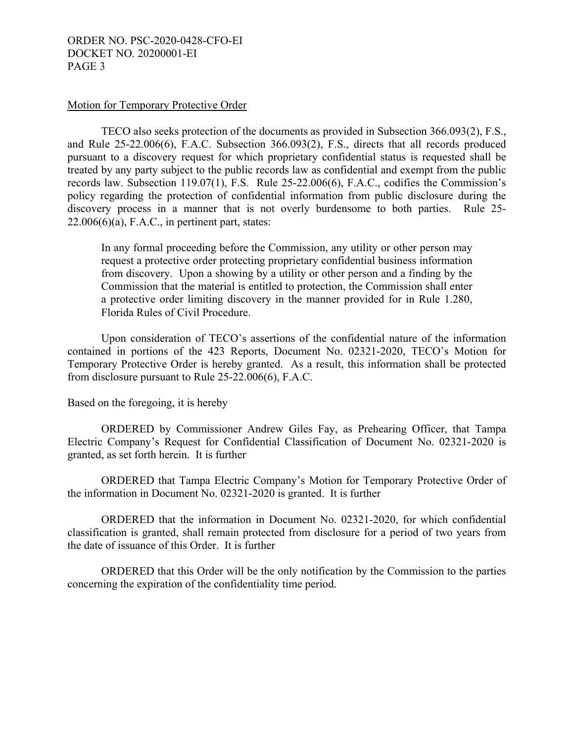# ORDER NO. PSC-2020-0428-CFO-EI DOCKET NO. 20200001-EI PAGE 3

#### Motion for Temporary Protective Order

TECO also seeks protection of the documents as provided in Subsection 366.093(2), F.S., and Rule 25-22.006(6), F.A.C. Subsection 366.093(2), F.S., directs that all records produced pursuant to a discovery request for which proprietary confidential status is requested shall be treated by any party subject to the public records law as confidential and exempt from the public records law. Subsection 119.07(1), F.S. Rule 25-22.006(6), F.A.C., codifies the Commission's policy regarding the protection of confidential information from public disclosure during the discovery process in a manner that is not overly burdensome to both parties. Rule 25-  $22.006(6)(a)$ , F.A.C., in pertinent part, states:

In any formal proceeding before the Commission, any utility or other person may request a protective order protecting proprietary confidential business information from discovery. Upon a showing by a utility or other person and a finding by the Commission that the material is entitled to protection, the Commission shall enter a protective order limiting discovery in the manner provided for in Rule 1.280, Florida Rules of Civil Procedure.

 Upon consideration of TECO's assertions of the confidential nature of the information contained in portions of the 423 Reports, Document No. 02321-2020, TECO's Motion for Temporary Protective Order is hereby granted. As a result, this information shall be protected from disclosure pursuant to Rule 25-22.006(6), F.A.C.

Based on the foregoing, it is hereby

 ORDERED by Commissioner Andrew Giles Fay, as Prehearing Officer, that Tampa Electric Company's Request for Confidential Classification of Document No. 02321-2020 is granted, as set forth herein. It is further

ORDERED that Tampa Electric Company's Motion for Temporary Protective Order of the information in Document No. 02321-2020 is granted. It is further

ORDERED that the information in Document No. 02321-2020, for which confidential classification is granted, shall remain protected from disclosure for a period of two years from the date of issuance of this Order. It is further

 ORDERED that this Order will be the only notification by the Commission to the parties concerning the expiration of the confidentiality time period.